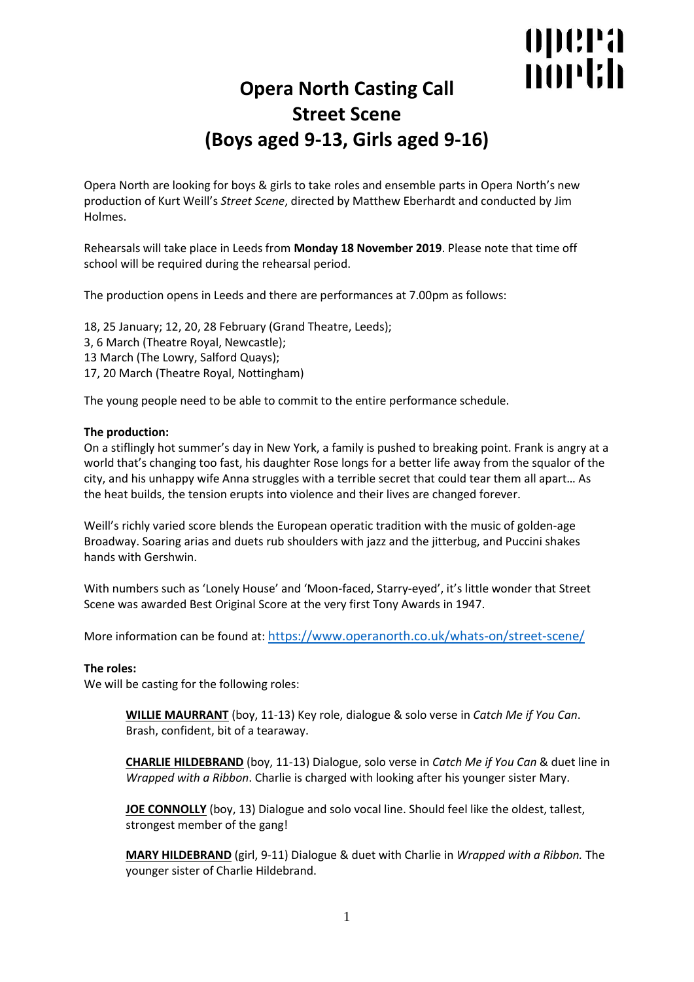# opera north

## **Opera North Casting Call Street Scene (Boys aged 9-13, Girls aged 9-16)**

Opera North are looking for boys & girls to take roles and ensemble parts in Opera North's new production of Kurt Weill's *Street Scene*, directed by Matthew Eberhardt and conducted by Jim Holmes.

Rehearsals will take place in Leeds from **Monday 18 November 2019**. Please note that time off school will be required during the rehearsal period.

The production opens in Leeds and there are performances at 7.00pm as follows:

18, 25 January; 12, 20, 28 February (Grand Theatre, Leeds); 3, 6 March (Theatre Royal, Newcastle); 13 March (The Lowry, Salford Quays); 17, 20 March (Theatre Royal, Nottingham)

The young people need to be able to commit to the entire performance schedule.

### **The production:**

On a stiflingly hot summer's day in New York, a family is pushed to breaking point. Frank is angry at a world that's changing too fast, his daughter Rose longs for a better life away from the squalor of the city, and his unhappy wife Anna struggles with a terrible secret that could tear them all apart… As the heat builds, the tension erupts into violence and their lives are changed forever.

Weill's richly varied score blends the European operatic tradition with the music of golden-age Broadway. Soaring arias and duets rub shoulders with jazz and the jitterbug, and Puccini shakes hands with Gershwin.

With numbers such as 'Lonely House' and 'Moon-faced, Starry-eyed', it's little wonder that Street Scene was awarded Best Original Score at the very first Tony Awards in 1947.

More information can be found at: <https://www.operanorth.co.uk/whats-on/street-scene/>

#### **The roles:**

We will be casting for the following roles:

**WILLIE MAURRANT** (boy, 11-13) Key role, dialogue & solo verse in *Catch Me if You Can*. Brash, confident, bit of a tearaway.

**CHARLIE HILDEBRAND** (boy, 11-13) Dialogue, solo verse in *Catch Me if You Can* & duet line in *Wrapped with a Ribbon*. Charlie is charged with looking after his younger sister Mary.

**JOE CONNOLLY** (boy, 13) Dialogue and solo vocal line. Should feel like the oldest, tallest, strongest member of the gang!

**MARY HILDEBRAND** (girl, 9-11) Dialogue & duet with Charlie in *Wrapped with a Ribbon.* The younger sister of Charlie Hildebrand.